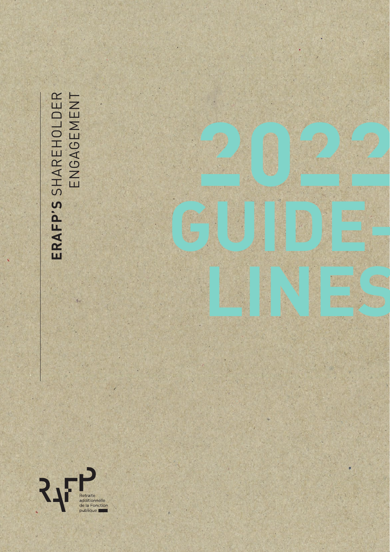ERAFP'S SHAREHOLDER<br>ENGAGEMENT **ERAFP'S** SHAREHOLDER ENGAGEMENT

X.

**GUIDE-**

**LINES**

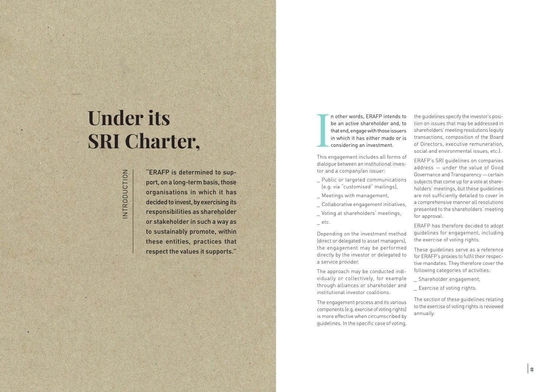# **Under its SRI Charter,**

# INTRODUCTION NTRODUCTION

"ERAFP is determined to sup port, on a long-term basis, those organisations in which it has decided to invest, by exercising its responsibilities as shareholder or stakeholder in such a way as to sustainably promote, within these entities, practices that respect the values it supports." I n other words, ERAFP intends to be an active shareholder and, to that end, engage with those issuers in which it has either made or is considering an investment.

This engagement includes all forms of dialogue between an institutional inves tor and a company/an issuer:

- \_ Public or targeted communications (e.g. via "customised" mailings),
- \_ Meetings with management,
- Collaborative engagement initiatives,
- \_ Voting at shareholders' meetings,  $=$  etc.

Depending on the investment method (direct or delegated to asset managers), the engagement may be performed directly by the investor or delegated to a service provider.

The approach may be conducted indi vidually or collectively, for example through alliances or shareholder and institutional investor coalitions.

The engagement process and its various components (e.g. exercise of voting rights) is more effective when circumscribed by guidelines. In the specific case of voting,

the guidelines specify the investor's posi tion on issues that may be addressed in shareholders' meeting resolutions (equity transactions, composition of the Board of Directors, executive remuneration, social and environmental issues, etc.).

ERAFP's SRI guidelines on companies address — under the value of Good Governance and Transparency — certain subjects that come up for a vote at share holders' meetings, but these guidelines are not sufficiently detailed to cover in a comprehensive manner all resolutions presented to the shareholders' meeting for approval.

ERAFP has therefore decided to adopt guidelines for engagement, including the exercise of voting rights.

These guidelines serve as a reference for ERAFP's proxies to fulfil their respec tive mandates. They therefore cover the following categories of activities:

- \_ Shareholder engagement;
- \_ Exercise of voting rights.

The section of these guidelines relating to the exercise of voting rights is reviewed annually.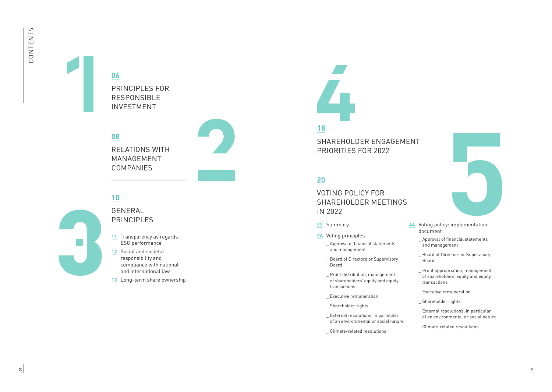# **06**

PRINCIPLES FOR RESPONSIBLE INVESTMENT

**08**

RELATIONS WITH MANAGEMENT COMPANIES

# **10**

GENERAL PRINCIPI FS

- **11** Transparency as regards ESG performance
- **12** Social and societal responsibility and compliance with national and international law
- **13** Long-term share ownership



### **18**

SHAREHOLDER ENGAGEMENT PRIORITIES FOR 2022

## **20**

VOTING POLICY FOR SHAREHOLDER MEETINGS IN 2022

- **22** Summary
- **24** Voting principles
	- \_ Approval of financial statements and management
	- \_ Board of Directors or Supervisory Board
	- \_ Profit distribution, management of shareholders' equity and equity transactions
	- \_ Executive remuneration
	- \_ Shareholder rights
	- \_ External resolutions, in particular of an environmental or social nature
	- \_ Climate-related resolutions



- **44** Voting policy: implementation document
	- \_ Approval of financial statements and management
	- \_ Board of Directors or Supervisory Board
	- \_ Profit appropriation, management of shareholders' equity and equity transactions
	- Executive remuneration
	- \_ Shareholder rights
	- \_ External resolutions, in particular of an environmental or social nature
	- \_ Climate-related resolutions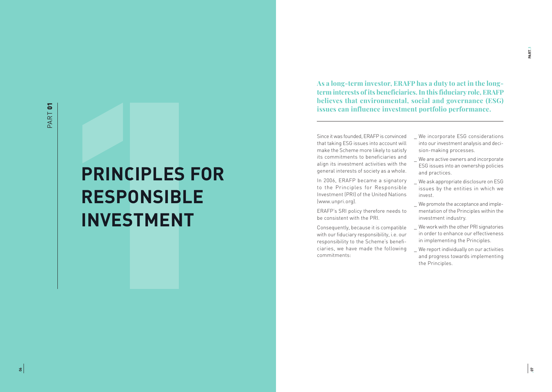# **PRINCIPLES FOR RESPONSIBLE INVESTMENT**

**As a long-term investor, ERAFP has a duty to act in the longterm interests of its beneficiaries. In this fiduciary role, ERAFP believes that environmental, social and governance (ESG) issues can influence investment portfolio performance.** 

Since it was founded, ERAFP is convinced that taking ESG issues into account will make the Scheme more likely to satisfy its commitments to beneficiaries and align its investment activities with the general interests of society as a whole.

In 2006, ERAFP became a signatory to the Principles for Responsible Investment (PRI) of the United Nations (www.unpri.org).

ERAFP's SRI policy therefore needs to be consistent with the PRI.

Consequently, because it is compatible with our fiduciary responsibility, i.e. our responsibility to the Scheme's beneficiaries, we have made the following commitments:

- We incorporate ESG considerations into our investment analysis and decision-making processes.
- We are active owners and incorporate ESG issues into an ownership policies and practices.
- We ask appropriate disclosure on ESG issues by the entities in which we invest.
- \_ We promote the acceptance and implementation of the Principles within the investment industry.
- We work with the other PRI signatories in order to enhance our effectiveness in implementing the Principles.
- We report individually on our activities and progress towards implementing the Principles.

**PART•**1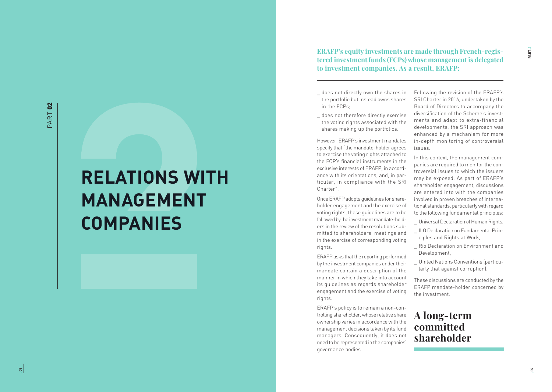# **RELATIONS WITH MANAGEMENT COMPANIES**

**ERAFP's equity investments are made through French-regis tered investment funds (FCPs) whose management is delegated to investment companies. As a result, ERAFP:**

- \_ does not directly own the shares in the portfolio but instead owns shares in the FCPs;
- \_ does not therefore directly exercise the voting rights associated with the shares making up the portfolios.

However, ERAFP's investment mandates specify that "the mandate-holder agrees to exercise the voting rights attached to the FCP's financial instruments in the exclusive interests of ERAFP, in accord ance with its orientations, and, in par ticular, in compliance with the SRI Charter".

Once ERAFP adopts guidelines for share holder engagement and the exercise of voting rights, these guidelines are to be followed by the investment mandate-hold ers in the review of the resolutions sub mitted to shareholders' meetings and in the exercise of corresponding voting rights.

ERAFP asks that the reporting performed by the investment companies under their mandate contain a description of the manner in which they take into account its guidelines as regards shareholder engagement and the exercise of voting rights.

ERAFP's policy is to remain a non-con trolling shareholder, whose relative share ownership varies in accordance with the management decisions taken by its fund managers. Consequently, it does not need to be represented in the companies' governance bodies.

Following the revision of the ERAFP's SRI Charter in 2016, undertaken by the Board of Directors to accompany the diversification of the Scheme's invest ments and adapt to extra-financial developments, the SRI approach was enhanced by a mechanism for more in-depth monitoring of controversial issues.

In this context, the management com panies are required to monitor the con troversial issues to which the issuers may be exposed. As part of ERAFP's shareholder engagement, discussions are entered into with the companies involved in proven breaches of interna tional standards, particularly with regard to the following fundamental principles:

- \_ Universal Declaration of Human Rights,
- \_ ILO Declaration on Fundamental Principles and Rights at Work,
- \_ Rio Declaration on Environment and Development,
- \_ United Nations Conventions (particu larly that against corruption).

These discussions are conducted by the ERAFP mandate-holder concerned by the investment.

## **A long-term committed shareholder**

**•09**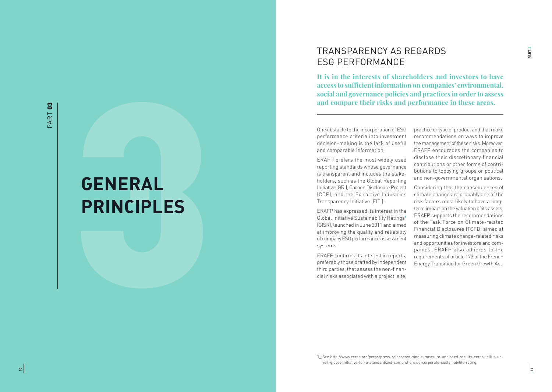# **GENERAL PRINCIPLES**

## TRANSPARENCY AS REGARDS ESG PERFORMANCE

**It is in the interests of shareholders and investors to have access to sufficient information on companies' environmental, social and governance policies and practices in order to assess and compare their risks and performance in these areas.** 

One obstacle to the incorporation of ESG performance criteria into investment decision-making is the lack of useful and comparable information.

ERAFP prefers the most widely used reporting standards whose governance is transparent and includes the stake holders, such as the Global Reporting Initiative (GRI), Carbon Disclosure Project (CDP), and the Extractive Industries Transparency Initiative (EITI).

ERAFP has expressed its interest in the Global Initiative Sustainability Ratings **1** (GISR), launched in June 2011 and aimed at improving the quality and reliability of company ESG performance assessment systems.

ERAFP confirms its interest in reports, preferably those drafted by independent third parties, that assess the non-finan cial risks associated with a project, site, practice or type of product and that make recommendations on ways to improve the management of these risks. Moreover, ERAFP encourages the companies to disclose their discretionary financial contributions or other forms of contri butions to lobbying groups or political and non-governmental organisations.

Considering that the consequences of climate change are probably one of the risk factors most likely to have a longterm impact on the valuation of its assets, ERAFP supports the recommendations of the Task Force on Climate-related Financial Disclosures (TCFD) aimed at measuring climate change-related risks and opportunities for investors and com panies. ERAFP also adheres to the requirements of article 173 of the French Energy Transition for Green Growth Act.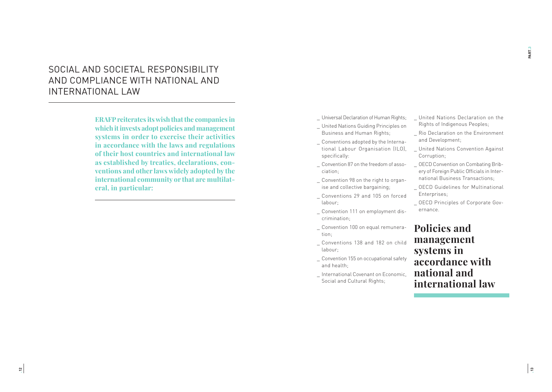## SOCIAL AND SOCIETAL RESPONSIBILITY AND COMPLIANCE WITH NATIONAL AND INTERNATIONAL LAW

**ERAFP reiterates its wish that the companies in which it invests adopt policies and management systems in order to exercise their activities in accordance with the laws and regulations of their host countries and international law as established by treaties, declarations, conventions and other laws widely adopted by the international community or that are multilateral, in particular:** 

\_ Universal Declaration of Human Rights;

- \_ United Nations Guiding Principles on Business and Human Rights;
- \_ Conventions adopted by the International Labour Organisation (ILO), specifically:
- \_ Convention 87 on the freedom of association;
- Convention 98 on the right to organise and collective bargaining;
- \_ Conventions 29 and 105 on forced labour;
- \_ Convention 111 on employment discrimination;
- \_ Convention 100 on equal remuneration;
- \_ Conventions 138 and 182 on child labour;
- \_ Convention 155 on occupational safety and health;
- \_ International Covenant on Economic, Social and Cultural Rights;
- \_ United Nations Declaration on the Rights of Indigenous Peoples;
- Rio Declaration on the Environment and Development;
- \_ United Nations Convention Against Corruption;
- \_ OECD Convention on Combating Bribery of Foreign Public Officials in International Business Transactions;
- \_ OECD Guidelines for Multinational Enterprises;
- \_ OECD Principles of Corporate Governance.

## **Policies and management systems in accordance with national and international law**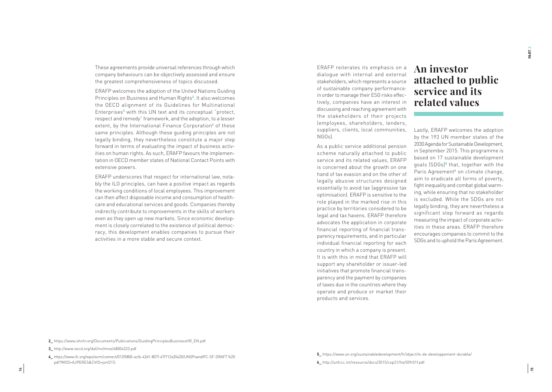These agreements provide universal references through which company behaviours can be objectively assessed and ensure the greatest comprehensiveness of topics discussed.

ERAFP welcomes the adoption of the United Nations Guiding Principles on Business and Human Rights **2** . It also welcomes the OECD alignment of its Guidelines for Multinational Enterprises **3** with this UN text and its conceptual "protect, respect and remedy" framework, and the adoption, to a lesser extent, by the International Finance Corporation<del>'</del> of these same principles. Although these guiding principles are not legally binding, they nevertheless constitute a major step forward in terms of evaluating the impact of business activ ities on human rights. As such, ERAFP favours the implemen tation in OECD member states of National Contact Points with extensive powers.

ERAFP underscores that respect for international law, nota bly the ILO principles, can have a positive impact as regards the working conditions of local employees. This improvement can then affect disposable income and consumption of health care and educational services and goods. Companies thereby indirectly contribute to improvements in the skills of workers even as they open up new markets. Since economic develop ment is closely correlated to the existence of political democ racy, this development enables companies to pursue their activities in a more stable and secure context.

ERAFP reiterates its emphasis on a dialogue with internal and external stakeholders, which represents a source of sustainable company performance: in order to manage their ESG risks effec tively, companies have an interest in discussing and reaching agreement with the stakeholders of their projects (employees, shareholders, lenders, suppliers, clients, local communities, NGOs).

As a public service additional pension scheme naturally attached to public service and its related values, ERAFP is concerned about the growth on one hand of tax evasion and on the other of legally abusive structures designed essentially to avoid tax (aggressive tax optimisation). ERAFP is sensitive to the role played in the marked rise in this practice by territories considered to be legal and tax havens. ERAFP therefore advocates the application in corporate financial reporting of financial trans parency requirements, and in particular individual financial reporting for each country in which a company is present. It is with this in mind that ERAFP will support any shareholder or issuer-led initiatives that promote financial trans parency and the payment by companies of taxes due in the countries where they operate and produce or market their products and services.

# **An investor attached to public service and its related values**

Lastly, ERAFP welcomes the adoption by the 193 UN member states of the 2030 Agenda for Sustainable Development, in September 2015. This programme is based on 17 sustainable development goals (SDGs) **5** that, together with the Paris Agreement<sup>6</sup> on climate change, aim to eradicate all forms of poverty, fight inequality and combat global warm ing, while ensuring that no stakeholder is excluded. While the SDGs are not legally binding, they are nevertheless a significant step forward as regards measuring the impact of corporate activ ities in these areas. ERAFP therefore encourages companies to commit to the SDGs and to uphold the Paris Agreement. PART.3

**<sup>2</sup>\_** https://www.ohchr.org/Documents/Publications/GuidingPrinciplesBusinessHR\_EN.pdf

**<sup>3</sup>\_** http://www.oecd.org/daf/inv/mne/48004323.pdf

**<sup>4</sup>\_** https://www.ifc.org/wps/wcm/connect/012f5800-acf6-42d1-807f-67f712a35420/UNGPsandIFC-SF-DRAFT.%20 pdf?MOD=AJPERES&CVID=jonf21S

**<sup>5</sup>\_** https://www.un.org/sustainabledevelopment/fr/objectifs-de-developpement-durable/ **6\_** http://unfccc.int/resource/docs/2015/cop21/fre/l09r01f.pdf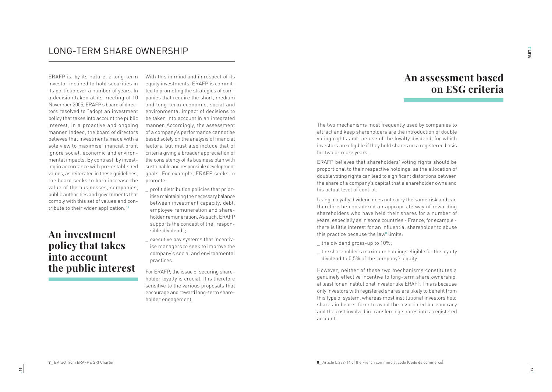## LONG-TERM SHARE OWNERSHIP

ERAFP is, by its nature, a long-term investor inclined to hold securities in its portfolio over a number of years. In a decision taken at its meeting of 10 November 2005, ERAFP's board of directors resolved to "adopt an investment policy that takes into account the public interest, in a proactive and ongoing manner. Indeed, the board of directors believes that investments made with a sole view to maximise financial profit ignore social, economic and environmental impacts. By contrast, by investing in accordance with pre-established values, as reiterated in these guidelines, the board seeks to both increase the value of the businesses, companies, public authorities and governments that comply with this set of values and contribute to their wider application."**<sup>7</sup>**

## **An investment policy that takes into account the public interest**

With this in mind and in respect of its equity investments, ERAFP is committed to promoting the strategies of companies that require the short, medium and long-term economic, social and environmental impact of decisions to be taken into account in an integrated manner. Accordingly, the assessment of a company's performance cannot be based solely on the analysis of financial factors, but must also include that of criteria giving a broader appreciation of the consistency of its business plan with sustainable and responsible development goals. For example, ERAFP seeks to promote:

- \_ profit distribution policies that prioritise maintaining the necessary balance between investment capacity, debt, employee remuneration and shareholder remuneration. As such, ERAFP supports the concept of the "responsible dividend";
- executive pay systems that incentivise managers to seek to improve the company's social and environmental practices.

For ERAFP, the issue of securing shareholder loyalty is crucial. It is therefore sensitive to the various proposals that encourage and reward long-term shareholder engagement.

**An assessment based on ESG criteria**

The two mechanisms most frequently used by companies to attract and keep shareholders are the introduction of double voting rights and the use of the loyalty dividend, for which investors are eligible if they hold shares on a registered basis for two or more years.

ERAFP believes that shareholders' voting rights should be proportional to their respective holdings, as the allocation of double voting rights can lead to significant distortions between the share of a company's capital that a shareholder owns and his actual level of control.

Using a loyalty dividend does not carry the same risk and can therefore be considered an appropriate way of rewarding shareholders who have held their shares for a number of years, especially as in some countries - France, for example there is little interest for an influential shareholder to abuse this practice because the law**<sup>8</sup>** limits:

- \_ the dividend gross-up to 10%;
- \_ the shareholder's maximum holdings eligible for the loyalty dividend to 0,5% of the company's equity.

However, neither of these two mechanisms constitutes a genuinely effective incentive to long-term share ownership, at least for an institutional investor like ERAFP. This is because only investors with registered shares are likely to benefit from this type of system, whereas most institutional investors hold shares in bearer form to avoid the associated bureaucracy and the cost involved in transferring shares into a registered account.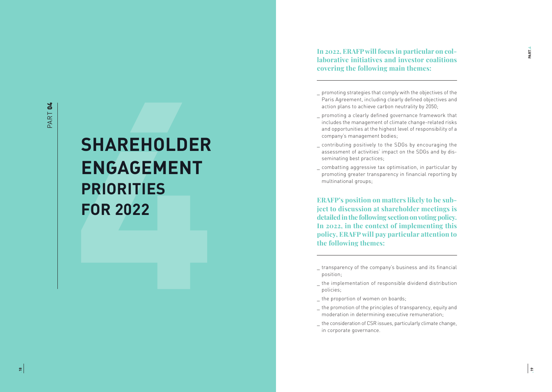# **SHAREHOLDER ENGAGEMENT PRIORITIES FOR 2022**

**In 2022, ERAFP will focus in particular on col laborative initiatives and investor coalitions covering the following main themes:** 

- \_ promoting strategies that comply with the objectives of the Paris Agreement, including clearly defined objectives and action plans to achieve carbon neutrality by 2050;
- \_ promoting a clearly defined governance framework that includes the management of climate change-related risks and opportunities at the highest level of responsibility of a company's management bodies;
- contributing positively to the SDGs by encouraging the assessment of activities' impact on the SDGs and by dis seminating best practices;
- \_ combatting aggressive tax optimisation, in particular by promoting greater transparency in financial reporting by multinational groups;

**ERAFP's position on matters likely to be sub ject to discussion at shareholder meetings is detailed in the following section on voting policy. In 2022, in the context of implementing this policy, ERAFP will pay particular attention to the following themes:**

- \_ the implementation of responsible dividend distribution policies;
- the proportion of women on boards;
- \_ the promotion of the principles of transparency, equity and moderation in determining executive remuneration;
- \_ the consideration of CSR issues, particularly climate change, in corporate governance.

\_ transparency of the company's business and its financial position;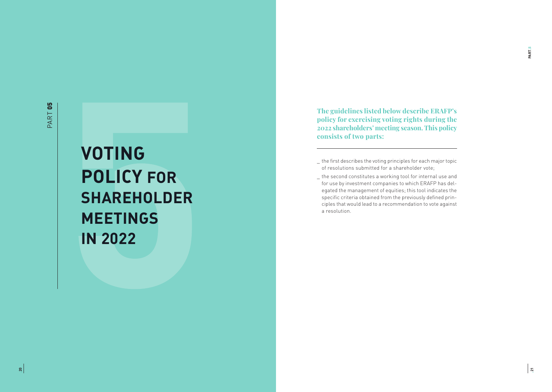# **VOTING POLICY FOR SHAREHOLDER MEETINGS IN 2022**

**The guidelines listed below describe ERAFP's policy for exercising voting rights during the 2022 shareholders' meeting season. This policy consists of two parts:** 

- \_ the first describes the voting principles for each major topic of resolutions submitted for a shareholder vote;
- \_ the second constitutes a working tool for internal use and for use by investment companies to which ERAFP has delegated the management of equities; this tool indicates the specific criteria obtained from the previously defined principles that would lead to a recommendation to vote against a resolution.

PART.5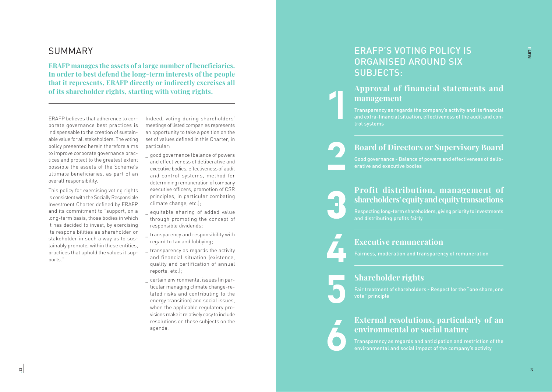## SUMMARY

**ERAFP manages the assets of a large number of beneficiaries. In order to best defend the long-term interests of the people that it represents, ERAFP directly or indirectly exercises all of its shareholder rights, starting with voting rights.** 

ERAFP believes that adherence to cor porate governance best practices is indispensable to the creation of sustain able value for all stakeholders. The voting policy presented herein therefore aims to improve corporate governance prac tices and protect to the greatest extent possible the assets of the Scheme's ultimate beneficiaries, as part of an overall responsibility.

This policy for exercising voting rights is consistent with the Socially Responsible Investment Charter defined by ERAFP and its commitment to "support, on a long-term basis, those bodies in which it has decided to invest, by exercising its responsibilities as shareholder or stakeholder in such a way as to sus tainably promote, within these entities, practices that uphold the values it sup ports."

Indeed, voting during shareholders' meetings of listed companies represents an opportunity to take a position on the set of values defined in this Charter, in particular:

- \_ good governance (balance of powers and effectiveness of deliberative and executive bodies, effectiveness of audit and control systems, method for determining remuneration of company executive officers, promotion of CSR principles, in particular combating climate change, etc.);
- equitable sharing of added value through promoting the concept of responsible dividends;
- \_ transparency and responsibility with regard to tax and lobbying;
- \_ transparency as regards the activity and financial situation (existence, quality and certification of annual reports, etc.);
- \_ certain environmental issues (in par ticular managing climate change-re lated risks and contributing to the energy transition) and social issues, when the applicable regulatory pro visions make it relatively easy to include resolutions on these subjects on the agenda.

## ERAFP'S VOTING POLICY IS ORGANISED AROUND SIX SUBJECTS:

## **Approval of financial statements and management**

Transparency as regards the company's activity and its financial and extra-financial situation, effectiveness of the audit and con trol systems

## **Board of Directors or Supervisory Board**

Good governance - Balance of powers and effectiveness of delib erative and executive bodies

## **Profit distribution, management of shareholders' equity and equity transactions**

Respecting long-term shareholders, giving priority to investments and distributing profits fairly

## **Executive remuneration**

## **Shareholder rights**

Fair treatment of shareholders - Respect for the "one share, one vote" principle

## **External resolutions, particularly of an environmental or social nature**

Transparency as regards and anticipation and restriction of the environmental and social impact of the company's activity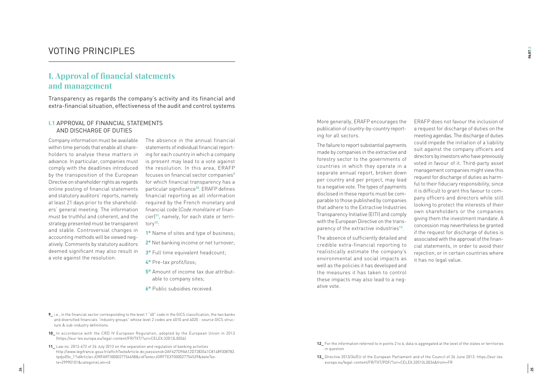## VOTING PRINCIPLES

## **I. Approval of financial statements and management**

Transparency as regards the company's activity and its financial and extra-financial situation, effectiveness of the audit and control systems

#### **I.1** APPROVAL OF FINANCIAL STATEMENTS AND DISCHARGE OF DUTIES

Company information must be available within time periods that enable all shareholders to analyse these matters in advance. In particular, companies must comply with the deadlines introduced by the transposition of the European Directive on shareholder rights as regards online posting of financial statements and statutory auditors' reports, namely at least 21 days prior to the shareholders' general meeting. The information must be truthful and coherent, and the strategy presented must be transparent and stable. Controversial changes in accounting methods will be viewed negatively. Comments by statutory auditors deemed significant may also result in a vote against the resolution.

The absence in the annual financial statements of individual financial reporting for each country in which a company is present may lead to a vote against the resolution. In this area, ERAFP focuses on financial sector companies**<sup>9</sup>** for which financial transparency has a particular significance**<sup>10</sup>**. ERAFP defines financial reporting as all information required by the French monetary and financial code (*Code monétaire et financier*) **11**, namely, for each state or territory**<sup>12</sup>**:

- **1°** Name of sites and type of business;
- **2°** Net banking income or net turnover;
- **3°** Full time equivalent headcount;
- **4°** Pre-tax profit/loss;
- **5°** Amount of income tax due attributable to company sites;
- **6°** Public subsidies received.
- **9\_** i.e., in the financial sector corresponding to the level 1 "40" code in the GICS classification, the two banks and diversified financials "industry groups" whose level 2 codes are 4010 and 4020 - source GICS structure & sub-industry definitions.
- **10\_** In accordance with the CRD IV European Regulation, adopted by the European Union in 2013 (https://eur-lex.europa.eu/legal-content/FR/TXT/?uri=CELEX:32013L0036)
- **11\_** Law no. 2013-672 of 26 July 2013 on the separation and regulation of banking activities http://www.legifrance.gouv.fr/affichTexteArticle.do;jsessionid=2AF627D9AA12D7283541C81489308783. tpdjo05v\_1?idArticle=JORFARTI000027754658&cidTexte=JORFTEXT000027754539&dateTexte=29990101&categorieLien=id

More generally, ERAFP encourages the publication of country-by-country reporting for all sectors.

The failure to report substantial payments made by companies in the extractive and forestry sector to the governments of countries in which they operate in a separate annual report, broken down per country and per project, may lead to a negative vote. The types of payments disclosed in these reports must be comparable to those published by companies that adhere to the Extractive Industries Transparency Initiative (EITI) and comply with the European Directive on the transparency of the extractive industries**<sup>13</sup>**.

The absence of sufficiently detailed and credible extra-financial reporting to realistically estimate the company's environmental and social impacts as well as the policies it has developed and the measures it has taken to control these impacts may also lead to a negative vote.

ERAFP does not favour the inclusion of a request for discharge of duties on the meeting agendas. The discharge of duties could impede the initiation of a liability suit against the company officers and directors by investors who have previously voted in favour of it. Third-party asset management companies might view this request for discharge of duties as harmful to their fiduciary responsibility, since it is difficult to grant this favour to company officers and directors while still looking to protect the interests of their own shareholders or the companies giving them the investment mandate. A concession may nevertheless be granted if the request for discharge of duties is associated with the approval of the financial statements, in order to avoid their rejection, or in certain countries where it has no legal value.

- **12\_** For the information referred to in points 2 to 6, data is aggregated at the level of the states or territories in question
- **13\_** Directive 2013/34/EU of the European Parliament and of the Council of 26 June 2013: https://eur-lex. europa.eu/legal-content/FR/TXT/PDF/?uri=CELEX:32013L0034&from=FR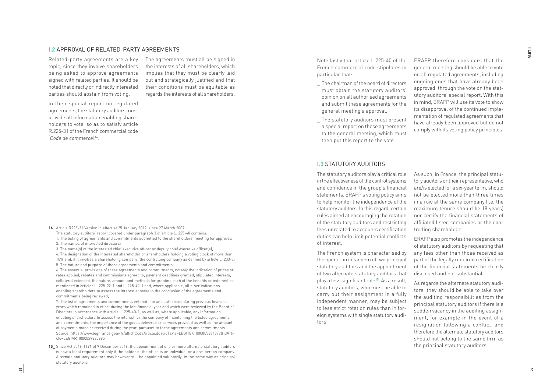#### **I.2** APPROVAL OF RELATED-PARTY AGREEMENTS

Related-party agreements are a key topic, since they involve shareholders being asked to approve agreements signed with related parties. It should be noted that directly or indirectly interested parties should abstain from voting.

The agreements must all be signed in the interests of all shareholders, which implies that they must be clearly laid out and strategically justified and that their conditions must be equitable as regards the interests of all shareholders.

In their special report on regulated agreements, the statutory auditors must provide all information enabling share holders to vote, so as to satisfy article R.225-31 of the French commercial code (*Code de commerce*) **<sup>14</sup>**.

**14\_** Article R225-31 Version in effect at 25 January 2012, since 27 March 2007

- The statutory auditors' report covered under paragraph 3 of article L. 225-40 contains:
- 1. The listing of agreements and commitments submitted to the shareholders' meeting for approval;
- 2. The names of interested directors;
- 3. The name(s) of the interested chief executive officer or deputy chief executive officer(s);

4. The designation of the interested shareholder or shareholders holding a voting block of more than 10% and, if it involves a shareholding company, the controlling company as defined by article L. 233-3; 5. The nature and purpose of these agreements and commitments;

6. The essential provisions of these agreements and commitments, notably the indication of prices or rates applied, rebates and commissions agreed to, payment deadlines granted, stipulated interests, collateral extended, the nature, amount and methods for granting each of the benefits or indemnities mentioned in articles L. 225-22-1 and L. 225-42-1 and, where applicable, all other indications enabling shareholders to assess the interest at stake in the conclusion of the agreements and commitments being reviewed;

7. The list of agreements and commitments entered into and authorised during previous financial years which remained in effect during the last financial year and which were reviewed by the Board of Directors in accordance with article L. 225-40-1, as well as, where applicable, any information enabling shareholders to assess the interest for the company of maintaining the listed agreements and commitments, the importance of the goods delivered or services provided as well as the amount of payments made or received during the year, pursuant to these agreements and commitments. Source: https://www.legifrance.gouv.fr/affichCodeArticle.do?cidTexte=LEGITEXT000005634379&idArti cle=LEGIARTI000029325885

**15\_** Since Act 2016-1691 of 9 December 2016, the appointment of one or more alternate statutory auditors is now a legal requirement only if the holder of the office is an individual or a one-person company. Alternate statutory auditors may however still be appointed voluntarily, in the same way as principal statutory auditors.

Note lastly that article L.225-40 of the French commercial code stipulates in particular that:

- The chairman of the board of directors must obtain the statutory auditors' opinion on all authorised agreements and submit these agreements for the general meeting's approval.
- \_ The statutory auditors must present a special report on these agreements to the general meeting, which must then put this report to the vote.

ERAFP therefore considers that the general meeting should be able to vote on all regulated agreements, including ongoing ones that have already been approved, through the vote on the stat utory auditors' special report. With this in mind, ERAFP will use its vote to show its disapproval of the continued imple mentation of regulated agreements that have already been approved but do not comply with its voting policy principles.

#### **I.3** STATUTORY AUDITORS

The statutory auditors play a critical role in the effectiveness of the control systems and confidence in the group's financial statements. ERAFP's voting policy aims to help monitor the independence of the statutory auditors. In this regard, certain rules aimed at encouraging the rotation of the statutory auditors and restricting fees unrelated to accounts certification duties can help limit potential conflicts of interest.

The French system is characterised by the operation in tandem of two principal statutory auditors and the appointment of two alternate statutory auditors that play a less significant role**<sup>15</sup>**. As a result, statutory auditors, who must be able to carry out their assignment in a fully independent manner, may be subject to less strict rotation rules than in for eign systems with single statutory audi tors.

As such, in France, the principal statu tory auditors or their representative, who are/is elected for a six-year term, should not be elected more than three times in a row at the same company (i.e. the maximum tenure should be 18 years) nor certify the financial statements of affiliated listed companies or the con trolling shareholder.

ERAFP also promotes the independence of statutory auditors by requesting that any fees other than those received as part of the legally required certification of the financial statements be clearly disclosed and not substantial.

As regards the alternate statutory audi tors, they should be able to take over the auditing responsibilities from the principal statutory auditors if there is a sudden vacancy in the auditing assign ment, for example in the event of a resignation following a conflict, and therefore the alternate statutory auditors should not belong to the same firm as the principal statutory auditors.

PART.5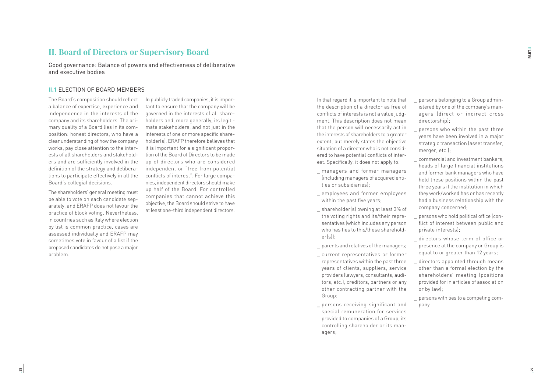### **II. Board of Directors or Supervisory Board**

Good governance: Balance of powers and effectiveness of deliberative and executive bodies

#### **II.1** ELECTION OF BOARD MEMBERS

The Board's composition should reflect a balance of expertise, experience and independence in the interests of the company and its shareholders. The pri mary quality of a Board lies in its com position: honest directors, who have a clear understanding of how the company works, pay close attention to the inter ests of all shareholders and stakehold ers and are sufficiently involved in the definition of the strategy and delibera tions to participate effectively in all the Board's collegial decisions.

The shareholders' general meeting must be able to vote on each candidate sep arately, and ERAFP does not favour the practice of block voting. Nevertheless, in countries such as Italy where election by list is common practice, cases are assessed individually and ERAFP may sometimes vote in favour of a list if the proposed candidates do not pose a major problem.

In publicly traded companies, it is impor tant to ensure that the company will be governed in the interests of all share holders and, more generally, its legiti mate stakeholders, and not just in the interests of one or more specific share holder(s). ERAFP therefore believes that it is important for a significant propor tion of the Board of Directors to be made up of directors who are considered independent or "free from potential conflicts of interest". For large compa nies, independent directors should make up half of the Board. For controlled companies that cannot achieve this objective, the Board should strive to have at least one-third independent directors. In that regard it is important to note that the description of a director as free of conflicts of interests is not a value judg ment. This description does not mean that the person will necessarily act in the interests of shareholders to a greater extent, but merely states the objective situation of a director who is not consid ered to have potential conflicts of inter est. Specifically, it does not apply to:

- managers and former managers (including managers of acquired enti ties or subsidiaries);
- employees and former employees within the past five years;
- \_ shareholder(s) owning at least 3% of the voting rights and its/their repre sentatives (which includes any person who has ties to this/these sharehold er(s));
- \_ parents and relatives of the managers;
- \_ current representatives or former representatives within the past three years of clients, suppliers, service providers (lawyers, consultants, audi tors, etc.), creditors, partners or any other contracting partner with the Group;
- \_ persons receiving significant and special remuneration for services provided to companies of a Group, its controlling shareholder or its man agers;
- \_ persons belonging to a Group admin istered by one of the company's man agers (direct or indirect cross directorship);
- persons who within the past three years have been involved in a major strategic transaction (asset transfer, merger, etc.).
- \_ commercial and investment bankers, heads of large financial institutions and former bank managers who have held these positions within the past three years if the institution in which they work/worked has or has recently had a business relationship with the company concerned;
- \_ persons who hold political office (con flict of interest between public and private interests);
- \_ directors whose term of office or presence at the company or Group is equal to or greater than 12 years;
- directors appointed through means other than a formal election by the shareholders' meeting (positions provided for in articles of association or by law);

\_ persons with ties to a competing com pany.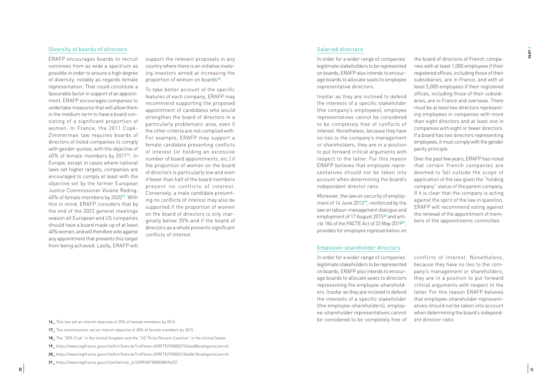#### Diversity of boards of directors

ERAFP encourages boards to recruit nominees from as wide a spectrum as possible in order to ensure a high degree of diversity, notably as regards female representation. That could constitute a favourable factor in support of an appoint ment. ERAFP encourages companies to undertake measures that will allow them in the medium term to have a board con sisting of a significant proportion of women. In France, the 2011 Copé-Zimmerman law requires boards of directors of listed companies to comply with gender quotas, with the objective of 40% of female members by 2017**<sup>16</sup>**. In Europe, except in cases where national laws set higher targets, companies are encouraged to comply at least with the objective set by the former European Justice Commissioner Viviane Reding: 40% of female members by 2020**<sup>17</sup>**. With this in mind, ERAFP considers that by the end of the 2022 general meetings season all European and US companies should have a board made up of at least 40% women, and will therefore vote against any appointment that prevents this target from being achieved. Lastly, ERAFP will

support the relevant proposals in any country where there is an initiative involv ing investors aimed at increasing the proportion of women on boards**<sup>18</sup>**.

To take better account of the specific features of each company, ERAFP may recommend supporting the proposed appointment of candidates who would strengthen the board of directors in a particularly problematic area, even if the other criteria are not complied with. For example, ERAFP may support a female candidate presenting conflicts of interest (or holding an excessive number of board appointments, etc.) if the proportion of women on the board of directors is particularly low and even if fewer than half of the board members present no conflicts of interest. Conversely, a male candidate present ing no conflicts of interest may also be supported if the proportion of women on the board of directors is only mar ginally below 35% and if the board of directors as a whole presents significant conflicts of interest.

#### Salaried directors

In order for a wider range of companies' legitimate stakeholders to be represented on boards, ERAFP also intends to encour age boards to allocate seats to employee representative directors.

Insofar as they are inclined to defend the interests of a specific stakeholder (the company's employees), employee representatives cannot be considered to be completely free of conflicts of interest. Nonetheless, because they have no ties to the company's management or shareholders, they are in a position to put forward critical arguments with respect to the latter. For this reason ERAFP believes that employee repre sentatives should not be taken into account when determining the board's independent director ratio.

Moreover, the law on security of employ ment of 14 June 2013**<sup>19</sup>**, reinforced by the law on labour-management dialogue and employment of 17 August 2015**<sup>20</sup>** and arti cle 184 of the PACTE Act of 22 May 2019**<sup>21</sup>**, provides for employee representation on

#### Employee-shareholder directors

In order for a wider range of companies' legitimate stakeholders to be represented on boards, ERAFP also intends to encour age boards to allocate seats to directors representing the employee-sharehold ers. Insofar as they are inclined to defend the interests of a specific stakeholder (the employee-shareholders), employ ee-shareholder representatives cannot be considered to be completely free of

the board of directors of French compa nies with at least 1,000 employees if their registered offices, including those of their subsidiaries, are in France, and with at least 5,000 employees if their registered offices, including those of their subsidi aries, are in France and overseas. There must be at least two directors represent ing employees in companies with more than eight directors and at least one in companies with eight or fewer directors. If a board has two directors representing employees, it must comply with the gender parity principle.

Over the past few years, ERAFP has noted that certain French companies are deemed to fall outside the scope of application of the law given the "holding company" status of the parent company. If it is clear that the company is acting against the spirit of the law in question, ERAFP will recommend voting against the renewal of the appointment of mem bers of the appointments committee.

conflicts of interest. Nonetheless, because they have no ties to the com pany's management or shareholders, they are in a position to put forward critical arguments with respect to the latter. For this reason ERAFP believes that employee-shareholder represent atives should not be taken into account when determining the board's independ ent director ratio.

- **16\_** This law set an interim objective of 20% of female members by 2014
- **17\_** The commissioner set an interim objective of 30% of female members by 2015
- **18\_** The "30% Club" in the United Kingdom and the "US Thirty Percent Coalition" in the United States
- **19\_** https://www.legifrance.gouv.fr/affichTexte.do?cidTexte=JORFTEXT000027546648&categorieLien=id
- **20\_** https://www.legifrance.gouv.fr/affichTexte.do?cidTexte=JORFTEXT000031046061&categorieLien=id
- **21\_** https://www.legifrance.gouv.fr/jorf/article\_jo/JORFARTI000038496257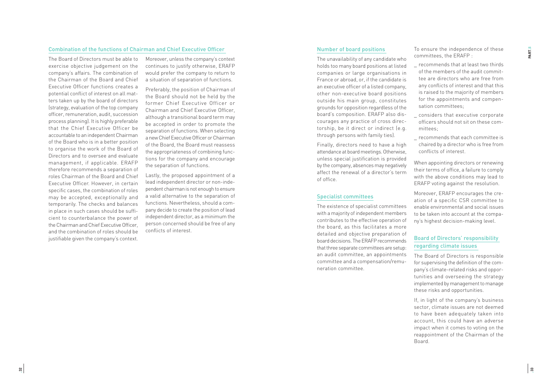#### Combination of the functions of Chairman and Chief Executive Officer

The Board of Directors must be able to exercise objective judgement on the company's affairs. The combination of the Chairman of the Board and Chief Executive Officer functions creates a potential conflict of interest on all mat ters taken up by the board of directors (strategy, evaluation of the top company officer, remuneration, audit, succession process planning). It is highly preferable that the Chief Executive Officer be accountable to an independent Chairman of the Board who is in a better position to organise the work of the Board of Directors and to oversee and evaluate management, if applicable. ERAFP therefore recommends a separation of roles Chairman of the Board and Chief Executive Officer. However, in certain specific cases, the combination of roles may be accepted, exceptionally and temporarily. The checks and balances in place in such cases should be suffi cient to counterbalance the power of the Chairman and Chief Executive Officer, and the combination of roles should be justifiable given the company's context.

Moreover, unless the company's context continues to justify otherwise, ERAFP would prefer the company to return to a situation of separation of functions.

Preferably, the position of Chairman of the Board should not be held by the former Chief Executive Officer or Chairman and Chief Executive Officer, although a transitional board term may be accepted in order to promote the separation of functions. When selecting a new Chief Executive Officer or Chairman of the Board, the Board must reassess the appropriateness of combining func tions for the company and encourage the separation of functions.

Lastly, the proposed appointment of a lead independent director or non-inde pendent chairman is not enough to ensure a valid alternative to the separation of functions. Nevertheless, should a com pany decide to create the position of lead independent director, as a minimum the person concerned should be free of any conflicts of interest.

#### Number of board positions

The unavailability of any candidate who holds too many board positions at listed companies or large organisations in France or abroad, or, if the candidate is an executive officer of a listed company, other non-executive board positions outside his main group, constitutes grounds for opposition regardless of the board's composition. ERAFP also dis courages any practice of cross direc torship, be it direct or indirect (e.g. through persons with family ties).

Finally, directors need to have a high attendance at board meetings. Otherwise, unless special justification is provided by the company, absences may negatively affect the renewal of a director's term of office.

#### Specialist committees

The existence of specialist committees with a majority of independent members contributes to the effective operation of the board, as this facilitates a more detailed and objective preparation of board decisions. The ERAFP recommends that three separate committees are setup: an audit committee, an appointments committee and a compensation/remu neration committee.

To ensure the independence of these committees, the ERAFP :

- \_ recommends that at least two thirds of the members of the audit commit tee are directors who are free from any conflicts of interest and that this is raised to the majority of members for the appointments and compen sation committees;
- considers that executive corporate officers should not sit on these com mittees;
- \_ recommends that each committee is chaired by a director who is free from conflicts of interest.

When appointing directors or renewing their terms of office, a failure to comply with the above conditions may lead to ERAFP voting against the resolution.

Moreover, ERAFP encourages the cre ation of a specific CSR committee to enable environmental and social issues to be taken into account at the compa ny's highest decision-making level.

#### Board of Directors' responsibility regarding climate issues

The Board of Directors is responsible for supervising the definition of the com pany's climate-related risks and oppor tunities and overseeing the strategy implemented by management to manage these risks and opportunities.

If, in light of the company's business sector, climate issues are not deemed to have been adequately taken into account, this could have an adverse impact when it comes to voting on the reappointment of the Chairman of the Board.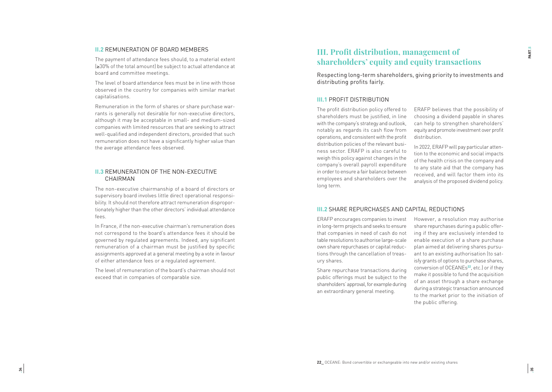#### **II.2** REMUNERATION OF BOARD MEMBERS

The payment of attendance fees should, to a material extent (≥30% of the total amount) be subject to actual attendance at board and committee meetings.

The level of board attendance fees must be in line with those observed in the country for companies with similar market capitalisations.

Remuneration in the form of shares or share purchase war rants is generally not desirable for non-executive directors, although it may be acceptable in small- and medium-sized companies with limited resources that are seeking to attract well-qualified and independent directors, provided that such remuneration does not have a significantly higher value than the average attendance fees observed.

#### **II.3** REMUNERATION OF THE NON-EXECUTIVE **CHAIRMAN**

The non-executive chairmanship of a board of directors or supervisory board involves little direct operational responsi bility. It should not therefore attract remuneration dispropor tionately higher than the other directors' individual attendance fees.

In France, if the non-executive chairman's remuneration does not correspond to the board's attendance fees it should be governed by regulated agreements. Indeed, any significant remuneration of a chairman must be justified by specific assignments approved at a general meeting by a vote in favour of either attendance fees or a regulated agreement.

The level of remuneration of the board's chairman should not exceed that in companies of comparable size.

## **III. Profit distribution, management of shareholders' equity and equity transactions**

Respecting long-term shareholders, giving priority to investments and distributing profits fairly.

#### **III.1** PROFIT DISTRIBUTION

The profit distribution policy offered to shareholders must be justified, in line with the company's strategy and outlook, notably as regards its cash flow from operations, and consistent with the profit distribution policies of the relevant busi ness sector. ERAFP is also careful to weigh this policy against changes in the company's overall payroll expenditure in order to ensure a fair balance between employees and shareholders over the long term.

ERAFP believes that the possibility of choosing a dividend payable in shares can help to strengthen shareholders' equity and promote investment over profit distribution.

In 2022, ERAFP will pay particular atten tion to the economic and social impacts of the health crisis on the company and to any state aid that the company has received, and will factor them into its analysis of the proposed dividend policy.

#### **III.2** SHARE REPURCHASES AND CAPITAL REDUCTIONS

ERAFP encourages companies to invest in long-term projects and seeks to ensure that companies in need of cash do not table resolutions to authorise large-scale own share repurchases or capital reduc tions through the cancellation of treas ury shares.

Share repurchase transactions during public offerings must be subject to the shareholders' approval, for example during an extraordinary general meeting.

However, a resolution may authorise share repurchases during a public offer ing if they are exclusively intended to enable execution of a share purchase plan aimed at delivering shares pursu ant to an existing authorisation (to sat isfy grants of options to purchase shares, conversion of OCEANEs**<sup>22</sup>**, etc.) or if they make it possible to fund the acquisition of an asset through a share exchange during a strategic transaction announced to the market prior to the initiation of the public offering.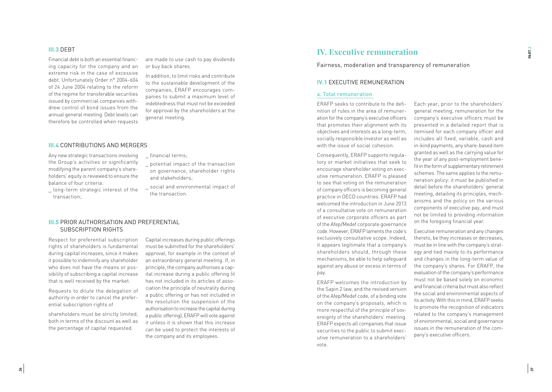## **•36**

PART.5

#### **III.3** DEBT

Financial debt is both an essential financ ing capacity for the company and an extreme risk in the case of excessive debt. Unfortunately Order n° 2004-604 of 24 June 2004 relating to the reform of the regime for transferable securities issued by commercial companies with drew control of bond issues from the annual general meeting. Debt levels can therefore be controlled when requests

are made to use cash to pay dividends or buy back shares.

In addition, to limit risks and contribute to the sustainable development of the companies, ERAFP encourages com panies to submit a maximum level of indebtedness that must not be exceeded for approval by the shareholders at the general meeting.

#### **III.4** CONTRIBUTIONS AND MERGERS

Any new strategic transactions involving the Group's activities or significantly modifying the parent company's share holders' equity is reviewed to ensure the balance of four criteria:

\_ potential impact of the transaction

\_ financial terms;

and stakeholders;

- \_ long-term strategic interest of the transaction;
- on governance, shareholder rights
- social and environmental impact of the transaction.

#### **III.5** PRIOR AUTHORISATION AND PREFERENTIAL SUBSCRIPTION RIGHTS

Respect for preferential subscription rights of shareholders is fundamental during capital increases, since it makes it possible to indemnify any shareholder who does not have the means or pos sibility of subscribing a capital increase that is well received by the market.

Requests to dilute the delegation of authority in order to cancel the prefer ential subscription rights of

shareholders must be strictly limited, both in terms of the discount as well as the percentage of capital requested.

Capital increases during public offerings must be submitted for the shareholders' approval, for example in the context of an extraordinary general meeting. If, in principle, the company authorises a cap ital increase during a public offering (it has not included in its articles of asso ciation the principle of neutrality during a public offering or has not included in the resolution the suspension of the authorisation to increase the capital during a public offering), ERAFP will vote against it unless it is shown that this increase can be used to protect the interests of the company and its employees.

### **IV. Executive remuneration**

Fairness, moderation and transparency of remuneration

#### **IV.1** EXECUTIVE REMUNERATION

#### a. Total remuneration

ERAFP seeks to contribute to the defi nition of rules in the area of remuner ation for the company's executive officers that promotes their alignment with its objectives and interests as a long-term, socially responsible investor as well as with the issue of social cohesion.

Consequently, ERAFP supports regula tory or market initiatives that seek to encourage shareholder voting on exec utive remuneration. ERAFP is pleased to see that voting on the remuneration of company officers is becoming general practice in OECD countries. ERAFP had welcomed the introduction in June 2013 of a consultative vote on remuneration of executive corporate officers as part of the Afep/Medef corporate governance code. However, ERAFP laments the code's exclusively consultative scope. Indeed, it appears legitimate that a company's shareholders should, through these mechanisms, be able to help safeguard against any abuse or excess in terms of pay.

ERAFP welcomes the introduction by the Sapin 2 law, and the revised version of the Afep/Medef code, of a binding vote on the company's proposals, which is more respectful of the principle of sov ereignty of the shareholders' meeting. ERAFP expects all companies that issue securities to the public to submit exec utive remuneration to a shareholders' vote.

Each year, prior to the shareholders' general meeting, remuneration for the company's executive officers must be presented in a detailed report that is itemised for each company officer and includes all fixed, variable, cash and in-kind payments, any share-based item granted as well as the carrying value for the year of any post-employment bene fit in the form of supplementary retirement schemes. The same applies to the remu neration policy: it must be published in detail before the shareholders' general meeting, detailing its principles, mech anisms and the policy on the various components of executive pay, and must not be limited to providing information on the foregoing financial year.

Executive remuneration and any changes thereto, be they increases or decreases, must be in line with the company's strat egy and tied mainly to its performance and changes in the long-term value of the company's shares. For ERAFP, the evaluation of the company's performance must not be based solely on economic and financial criteria but must also reflect the social and environmental aspects of its activity. With this in mind, ERAFP seeks to promote the recognition of indicators related to the company's management of environmental, social and governance issues in the remuneration of the com pany's executive officers.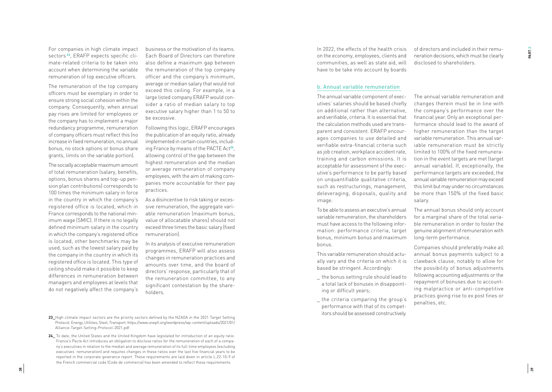For companies in high climate impact sectors**<sup>23</sup>**, ERAFP expects specific cli mate-related criteria to be taken into account when determining the variable remuneration of top executive officers.

The remuneration of the top company officers must be exemplary in order to ensure strong social cohesion within the company. Consequently, when annual pay rises are limited for employees or the company has to implement a major redundancy programme, remuneration of company officers must reflect this (no increase in fixed remuneration, no annual bonus, no stock options or bonus share grants, limits on the variable portion).

The socially acceptable maximum amount of total remuneration (salary, benefits, options, bonus shares and top-up pen sion plan contributions) corresponds to 100 times the minimum salary in force in the country in which the company's registered office is located, which in France corresponds to the national min imum wage (SMIC). If there is no legally defined minimum salary in the country in which the company's registered office is located, other benchmarks may be used, such as the lowest salary paid by the company in the country in which its registered office is located. This type of ceiling should make it possible to keep differences in remuneration between managers and employees at levels that do not negatively affect the company's

business or the motivation of its teams. Each Board of Directors can therefore also define a maximum gap between the remuneration of the top company officer and the company's minimum, average or median salary that would not exceed this ceiling. For example, in a large listed company ERAFP would con sider a ratio of median salary to top executive salary higher than 1 to 50 to be excessive.

Following this logic, ERAFP encourages the publication of an equity ratio, already implemented in certain countries, includ ing France by means of the PACTE Act**<sup>24</sup>**, allowing control of the gap between the highest remuneration and the median or average remuneration of company employees, with the aim of making com panies more accountable for their pay practices.

As a disincentive to risk taking or exces sive remuneration, the aggregate vari able remuneration (maximum bonus, value of allocatable shares) should not exceed three times the basic salary (fixed remuneration).

In its analysis of executive remuneration programmes, ERAFP will also assess changes in remuneration practices and amounts over time, and the board of directors' response, particularly that of the remuneration committee, to any significant contestation by the share holders.

- **23\_**High climate impact sectors are the priority sectors defined by the NZAOA in the 2021 Target Setting Protocol: Energy, Utilities, Steel, Transport. https://www.unepfi.org/wordpress/wp-content/uploads/2021/01/ Alliance-Target-Setting-Protocol-2021.pdf
- 24 To date, the United States and the United Kingdom have legislated for introduction of an equity ratio. France's Pacte Act introduces an obligation to disclose ratios for the remuneration of each of a compa ny's executives in relation to the median and average remuneration of its full-time employees (excluding executives' remuneration) and requires changes in these ratios over the last five financial years to be reported in the corporate goverance report. These requirements are laid down in article L.22-10-9 of the French commercial code (Code de commerce) has been amended to reflect these requirements.

In 2022, the effects of the health crisis on the economy, employees, clients and communities, as well as state aid, will have to be take into account by boards

of directors and included in their remu neration decisions, which must be clearly disclosed to shareholders.

#### b. Annual variable remuneration

The annual variable component of exec utives' salaries should be based chiefly on additional rather than alternative, and verifiable, criteria. It is essential that the calculation methods used are trans parent and consistent. ERAFP encour ages companies to use detailed and verifiable extra-financial criteria such as job creation, workplace accident rate, training and carbon emissions. It is acceptable for assessment of the exec utive's performance to be partly based on unquantifiable qualitative criteria, such as restructurings, management, deleveraging, disposals, quality and image.

To be able to assess an executive's annual variable remuneration, the shareholders must have access to the following infor mation: performance criteria, target bonus, minimum bonus and maximum bonus.

This variable remuneration should actu ally vary and the criteria on which it is based be stringent. Accordingly:

- \_ the bonus setting rule should lead to a total lack of bonuses in disappoint ing or difficult years;
- the criteria comparing the group's performance with that of its compet itors should be assessed constructively.

The annual variable remuneration and changes therein must be in line with the company's performance over the financial year. Only an exceptional per formance should lead to the award of higher remuneration than the target variable remuneration. This annual var iable remuneration must be strictly limited to 100% of the fixed remunera tion in the event targets are met (target annual variable). If, exceptionally, the performance targets are exceeded, the annual variable remuneration may exceed this limit but may under no circumstances be more than 150% of the fixed basic salary.

The annual bonus should only account for a marginal share of the total varia ble remuneration in order to foster the genuine alignment of remuneration with long-term performance.

Companies should preferably make all annual bonus payments subject to a clawback clause, notably to allow for the possibility of bonus adjustments following accounting adjustments or the repayment of bonuses due to account ing malpractice or anti-competitive practices giving rise to ex post fines or penalties, etc.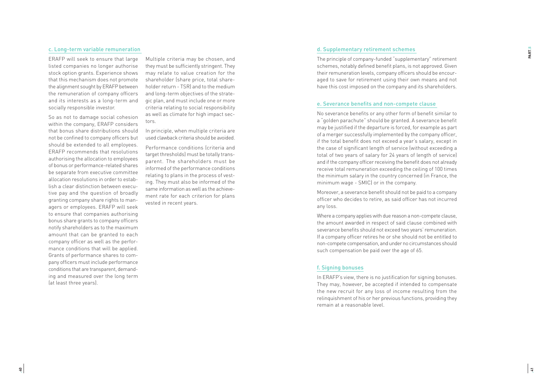#### c. Long-term variable remuneration

ERAFP will seek to ensure that large listed companies no longer authorise stock option grants. Experience shows that this mechanism does not promote the alignment sought by ERAFP between the remuneration of company officers and its interests as a long-term and socially responsible investor.

So as not to damage social cohesion within the company, ERAFP considers that bonus share distributions should not be confined to company officers but should be extended to all employees. ERAFP recommends that resolutions authorising the allocation to employees of bonus or performance-related shares be separate from executive committee allocation resolutions in order to estab lish a clear distinction between execu tive pay and the question of broadly granting company share rights to man agers or employees. ERAFP will seek to ensure that companies authorising bonus share grants to company officers notify shareholders as to the maximum amount that can be granted to each company officer as well as the perfor mance conditions that will be applied. Grants of performance shares to com pany officers must include performance conditions that are transparent, demand ing and measured over the long term (at least three years).

Multiple criteria may be chosen, and they must be sufficiently stringent. They may relate to value creation for the shareholder (share price, total share holder return - TSR) and to the medium and long-term objectives of the strate gic plan, and must include one or more criteria relating to social responsibility as well as climate for high impact sec tors.

In principle, when multiple criteria are used clawback criteria should be avoided.

Performance conditions (criteria and target thresholds) must be totally trans parent. The shareholders must be informed of the performance conditions relating to plans in the process of vest ing. They must also be informed of the same information as well as the achieve ment rate for each criterion for plans vested in recent years.

#### d. Supplementary retirement schemes

The principle of company-funded "supplementary" retirement schemes, notably defined benefit plans, is not approved. Given their remuneration levels, company officers should be encour aged to save for retirement using their own means and not have this cost imposed on the company and its shareholders.

#### e. Severance benefits and non-compete clause

No severance benefits or any other form of benefit similar to a "golden parachute" should be granted. A severance benefit may be justified if the departure is forced, for example as part of a merger successfully implemented by the company officer, if the total benefit does not exceed a year's salary, except in the case of significant length of service (without exceeding a total of two years of salary for 24 years of length of service) and if the company officer receiving the benefit does not already receive total remuneration exceeding the ceiling of 100 times the minimum salary in the country concerned (in France, the minimum wage - SMIC) or in the company.

Moreover, a severance benefit should not be paid to a company officer who decides to retire, as said officer has not incurred any loss.

Where a company applies with due reason a non-compete clause, the amount awarded in respect of said clause combined with severance benefits should not exceed two years' remuneration. If a company officer retires he or she should not be entitled to non-compete compensation, and under no circumstances should such compensation be paid over the age of 65.

#### f. Signing bonuses

In ERAFP's view, there is no justification for signing bonuses. They may, however, be accepted if intended to compensate the new recruit for any loss of income resulting from the relinquishment of his or her previous functions, providing they remain at a reasonable level.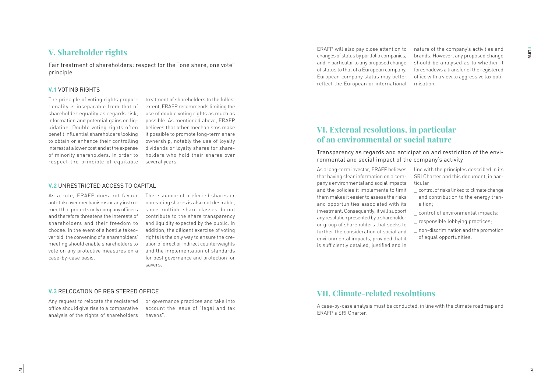### **V. Shareholder rights**

Fair treatment of shareholders: respect for the "one share, one vote" principle

#### **V.1** VOTING RIGHTS

The principle of voting rights proportionality is inseparable from that of shareholder equality as regards risk, information and potential gains on liquidation. Double voting rights often benefit influential shareholders looking to obtain or enhance their controlling interest at a lower cost and at the expense of minority shareholders. In order to respect the principle of equitable

treatment of shareholders to the fullest extent, ERAFP recommends limiting the use of double voting rights as much as possible. As mentioned above, ERAFP believes that other mechanisms make it possible to promote long-term share ownership, notably the use of loyalty dividends or loyalty shares for shareholders who hold their shares over several years.

#### **V.2** UNRESTRICTED ACCESS TO CAPITAL

As a rule, ERAFP does not favour anti-takeover mechanisms or any instrument that protects only company officers and therefore threatens the interests of shareholders and their freedom to choose. In the event of a hostile takeover bid, the convening of a shareholders' meeting should enable shareholders to vote on any protective measures on a case-by-case basis.

The issuance of preferred shares or non-voting shares is also not desirable, since multiple share classes do not contribute to the share transparency and liquidity expected by the public. In addition, the diligent exercise of voting rights is the only way to ensure the creation of direct or indirect counterweights and the implementation of standards for best governance and protection for savers.

#### **V.3** RELOCATION OF REGISTERED OFFICE

Any request to relocate the registered or governance practices and take into office should give rise to a comparative analysis of the rights of shareholders

account the issue of "legal and tax havens".

**•42**

ERAFP will also pay close attention to changes of status by portfolio companies, and in particular to any proposed change of status to that of a European company. European company status may better reflect the European or international nature of the company's activities and brands. However, any proposed change should be analysed as to whether it foreshadows a transfer of the registered office with a view to aggressive tax optimisation.

### **VI. External resolutions, in particular of an environmental or social nature**

Transparency as regards and anticipation and restriction of the environmental and social impact of the company's activity

As a long-term investor, ERAFP believes that having clear information on a company's environmental and social impacts and the policies it implements to limit them makes it easier to assess the risks and opportunities associated with its investment. Consequently, it will support any resolution presented by a shareholder or group of shareholders that seeks to further the consideration of social and environmental impacts, provided that it is sufficiently detailed, justified and in

line with the principles described in its SRI Charter and this document, in particular:

- \_ control of risks linked to climate change and contribution to the energy transition;
- control of environmental impacts;
- \_ responsible lobbying practices;
- \_ non-discrimination and the promotion of equal opportunities.

## **VII. Climate-related resolutions**

A case-by-case analysis must be conducted, in line with the climate roadmap and ERAFP's SRI Charter.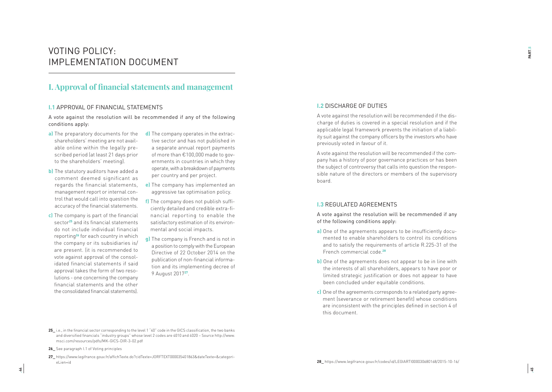## VOTING POLICY: IMPLEMENTATION DOCUMENT

### **I. Approval of financial statements and management**

#### **I.1** APPROVAL OF FINANCIAL STATEMENTS

A vote against the resolution will be recommended if any of the following conditions apply:

- **a)** The preparatory documents for the shareholders' meeting are not avail able online within the legally pre scribed period (at least 21 days prior to the shareholders' meeting).
- **b)** The statutory auditors have added a comment deemed significant as regards the financial statements, management report or internal con trol that would call into question the accuracy of the financial statements.
- **c)** The company is part of the financial sector**<sup>25</sup>** and its financial statements do not include individual financial reporting**<sup>26</sup>** for each country in which the company or its subsidiaries is/ are present. (it is recommended to vote against approval of the consol idated financial statements if said approval takes the form of two reso lutions - one concerning the company financial statements and the other the consolidated financial statements).
- **d)** The company operates in the extrac tive sector and has not published in a separate annual report payments of more than €100,000 made to gov ernments in countries in which they operate, with a breakdown of payments per country and per project.
- **e)** The company has implemented an aggressive tax optimisation policy.
- **f)** The company does not publish suffi ciently detailed and credible extra-fi nancial reporting to enable the satisfactory estimation of its environ mental and social impacts.
- **g)** The company is French and is not in a position to comply with the European Directive of 22 October 2014 on the publication of non-financial informa tion and its implementing decree of 9 August 2017**<sup>27</sup>**.

#### **I.2** DISCHARGE OF DUTIES

A vote against the resolution will be recommended if the dis charge of duties is covered in a special resolution and if the applicable legal framework prevents the initiation of a liabil ity suit against the company officers by the investors who have previously voted in favour of it.

A vote against the resolution will be recommended if the com pany has a history of poor governance practices or has been the subject of controversy that calls into question the respon sible nature of the directors or members of the supervisory board.

#### **I.3** REGULATED AGREEMENTS

A vote against the resolution will be recommended if any of the following conditions apply:

- a) One of the agreements appears to be insufficiently documented to enable shareholders to control its conditions and to satisfy the requirements of article R.225-31 of the French commercial code.**<sup>28</sup>**
- **b)** One of the agreements does not appear to be in line with the interests of all shareholders, appears to have poor or limited strategic justification or does not appear to have been concluded under equitable conditions.
- **c)** One of the agreements corresponds to a related party agree ment (severance or retirement benefit) whose conditions are inconsistent with the principles defined in section 4 of this document.

**<sup>25</sup>\_** i.e., in the financial sector corresponding to the level 1 "40" code in the GICS classification, the two banks and diversified financials "industry groups" whose level 2 codes are 4010 and 4020 – Source http://www. msci.com/resources/pdfs/MK-GICS-DIR-3-02.pdf

**<sup>26</sup>\_** See paragraph I.1 of Voting principles

**<sup>27</sup>\_** https://www.legifrance.gouv.fr/affichTexte.do?cidTexte=JORFTEXT000035401863&dateTexte=&categori eLien=id **28\_** https://www.legifrance.gouv.fr/codes/id/LEGIARTI000030680168/2015-10-16/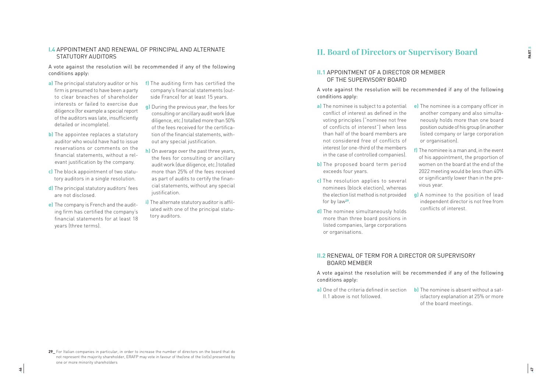#### **I.4** APPOINTMENT AND RENEWAL OF PRINCIPAL AND ALTERNATE STATUTORY AUDITORS

A vote against the resolution will be recommended if any of the following conditions apply:

- **a)** The principal statutory auditor or his firm is presumed to have been a party to clear breaches of shareholder interests or failed to exercise due diligence (for example a special report of the auditors was late, insufficiently detailed or incomplete).
- **b)** The appointee replaces a statutory auditor who would have had to issue reservations or comments on the financial statements, without a relevant justification by the company.
- **c)** The block appointment of two statutory auditors in a single resolution.
- **d)** The principal statutory auditors' fees are not disclosed.
- **e)** The company is French and the auditing firm has certified the company's financial statements for at least 18 years (three terms).
- **f)** The auditing firm has certified the company's financial statements (outside France) for at least 15 years.
- **g)** During the previous year, the fees for consulting or ancillary audit work (due diligence, etc.) totalled more than 50% of the fees received for the certification of the financial statements, without any special justification.
- **h)** On average over the past three years, the fees for consulting or ancillary audit work (due diligence, etc.) totalled more than 25% of the fees received as part of audits to certify the financial statements, without any special iustification.
- **i)** The alternate statutory auditor is affiliated with one of the principal statutory auditors.

## **II. Board of Directors or Supervisory Board**

#### **II.1** APPOINTMENT OF A DIRECTOR OR MEMBER OF THE SUPERVISORY BOARD

A vote against the resolution will be recommended if any of the following conditions apply:

- **a)** The nominee is subject to a potential conflict of interest as defined in the voting principles ("nominee not free of conflicts of interest") when less than half of the board members are not considered free of conflicts of interest (or one-third of the members in the case of controlled companies).
- **b)** The proposed board term period exceeds four years.
- **c)** The resolution applies to several nominees (block election), whereas the election list method is not provided for by law**<sup>29</sup>**.
- **d)** The nominee simultaneously holds more than three board positions in listed companies, large corporations or organisations.
- **e)** The nominee is a company officer in another company and also simultaneously holds more than one board position outside of his group (in another listed company or large corporation or organisation).
- **f)** The nominee is a man and, in the event of his appointment, the proportion of women on the board at the end of the 2022 meeting would be less than 40% or significantly lower than in the previous year.
- **g)** A nominee to the position of lead independent director is not free from conflicts of interest.

#### **II.2** RENEWAL OF TERM FOR A DIRECTOR OR SUPERVISORY BOARD MEMBER

A vote against the resolution will be recommended if any of the following conditions apply:

- II.1 above is not followed.
- **a)** One of the criteria defined in section **b)** The nominee is absent without a satisfactory explanation at 25% or more of the board meetings.

<sup>29</sup> For Italian companies in particular, in order to increase the number of directors on the board that do not represent the majority shareholder, ERAFP may vote in favour of the/one of the list(s) presented by one or more minority shareholders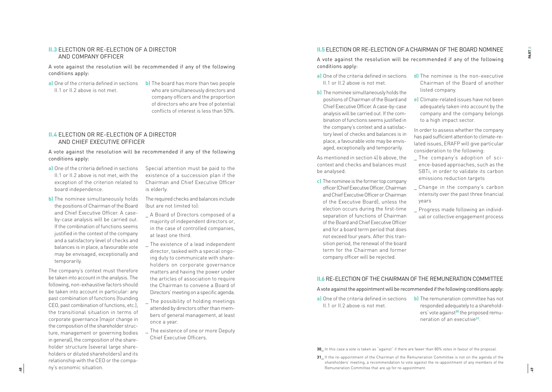#### **II.3** ELECTION OR RE-ELECTION OF A DIRECTOR AND COMPANY OFFICER

A vote against the resolution will be recommended if any of the following conditions apply:

- **a)** One of the criteria defined in sections II.1 or II.2 above is not met.
- **b)** The board has more than two people who are simultaneously directors and company officers and the proportion of directors who are free of potential conflicts of interest is less than 50%.

#### **II.4** ELECTION OR RE-ELECTION OF A DIRECTOR AND CHIEF EXECUTIVE OFFICER

A vote against the resolution will be recommended if any of the following conditions apply:

- **a)** One of the criteria defined in sections II.1 or II.2 above is not met, with the exception of the criterion related to board independence.
- **b)** The nominee simultaneously holds the positions of Chairman of the Board and Chief Executive Officer. A caseby-case analysis will be carried out. If the combination of functions seems justified in the context of the company and a satisfactory level of checks and balances is in place, a favourable vote may be envisaged, exceptionally and temporarily.

The company's context must therefore be taken into account in the analysis. The following, non-exhaustive factors should be taken into account in particular: any past combination of functions (founding CEO, past combination of functions, etc.), the transitional situation in terms of corporate governance (major change in the composition of the shareholder struc ture, management or governing bodies in general), the composition of the share holder structure (several large share holders or diluted shareholders) and its relationship with the CEO or the compa ny's economic situation.

Special attention must be paid to the existence of a succession plan if the Chairman and Chief Executive Officer is elderly.

The required checks and balances include (but are not limited to):

- A Board of Directors composed of a majority of independent directors or, in the case of controlled companies, at least one third.
- The existence of a lead independent director, tasked with a special ongo ing duty to communicate with share holders on corporate governance matters and having the power under the articles of association to require the Chairman to convene a Board of Directors' meeting on a specific agenda.
- The possibility of holding meetings attended by directors other than mem bers of general management, at least once a year.
- The existence of one or more Deputy Chief Executive Officers.

#### **II.5** ELECTION OR RE-ELECTION OF A CHAIRMAN OF THE BOARD NOMINEE

A vote against the resolution will be recommended if any of the following conditions apply:

- II.1 or II.2 above is not met.
- **b)** The nominee simultaneously holds the positions of Chairman of the Board and Chief Executive Officer. A case-by-case analysis will be carried out. If the com bination of functions seems justified in the company's context and a satisfac tory level of checks and balances is in place, a favourable vote may be envis aged, exceptionally and temporarily.

As mentioned in section 4l h above, the context and checks and balances must be analysed.

**c)** The nominee is the former top company officer (Chief Executive Officer, Chairman and Chief Executive Officer or Chairman of the Executive Board), unless the election occurs during the first-time separation of functions of Chairman of the Board and Chief Executive Officer and for a board term period that does not exceed four years. After this tran sition period, the renewal of the board term for the Chairman and former company officer will be rejected.

- **a)** One of the criteria defined in sections **d)** The nominee is the non-executive Chairman of the Board of another listed company.
	- **e)** Climate-related issues have not been adequately taken into account by the company and the company belongs to a high impact sector.
	- In order to assess whether the company has paid sufficient attention to climate-re lated issues, ERAFP will give particular consideration to the following:
	- \_ The company's adoption of sci ence-based approaches, such as the SBTi, in order to validate its carbon emissions reduction targets
	- Change in the company's carbon intensity over the past three financial years
	- \_ Progress made following an individ ual or collective engagement process

#### **II.6** RE-ELECTION OF THE CHAIRMAN OF THE REMUNERATION COMMITTEE

A vote against the appointment will be recommended if the following conditions apply:

- II.1 or II.2 above is not met.
- **a)** One of the criteria defined in sections **b)** The remuneration committee has not responded adequately to a sharehold ers' vote against**<sup>30</sup>** the proposed remu neration of an executive**<sup>31</sup>** .

**30\_** In this case a vote is taken as "against" if there are fewer than 80% votes in favour of the proposal.

**<sup>31</sup>** If the re-appointment of the Chairman of the Remuneration Committee is not on the agenda of the shareholders' meeting, a recommendation to vote against the re-appointment of any members of the Remuneration Committee that are up for re-appointment.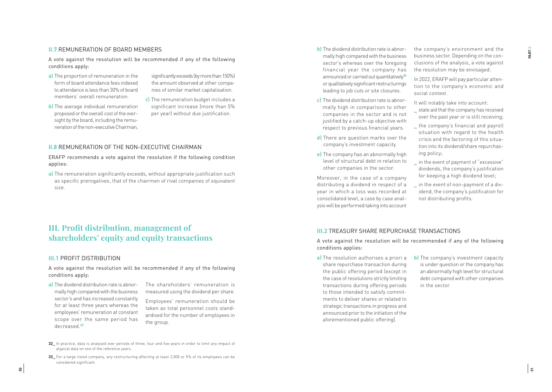#### **II.7** REMUNERATION OF BOARD MEMBERS

A vote against the resolution will be recommended if any of the following conditions apply:

**a)** The proportion of remuneration in the form of board attendance fees indexed to attendance is less than 30% of board members' overall remuneration.

**b)** The average individual remuneration proposed or the overall cost of the over sight by the board, including the remu neration of the non-executive Chairman,

- significantly exceeds (by more than 150%) the amount observed at other compa nies of similar market capitalisation.
- **c)** The remuneration budget includes a significant increase (more than 5% per year) without due justification.

#### **II.8** REMUNERATION OF THE NON-EXECUTIVE CHAIRMAN

ERAFP recommends a vote against the resolution if the following condition applies:

**a)** The remuneration significantly exceeds, without appropriate justification such as specific prerogatives, that of the chairmen of rival companies of equivalent size.

## **III. Profit distribution, management of shareholders' equity and equity transactions**

#### **III.1** PROFIT DISTRIBUTION

A vote against the resolution will be recommended if any of the following conditions apply:

**a)** The dividend distribution rate is abnor mally high compared with the business sector's and has increased constantly for at least three years whereas the employees' remuneration at constant scope over the same period has decreased.**<sup>32</sup>**

The shareholders' remuneration is measured using the dividend per share.

Employees' remuneration should be taken as total personnel costs stand ardised for the number of employees in the group.

- **32\_** In practice, data is analysed over periods of three, four and five years in order to limit any impact of atypical data on one of the reference years.
- **33\_** For a large listed company, any restructuring affecting at least 2,000 or 5% of its employees can be considered significant.
- **b)** The dividend distribution rate is abnor mally high compared with the business sector's whereas over the foregoing financial year the company has announced or carried out quantitatively**<sup>33</sup>** or qualitatively significant restructurings leading to job cuts or site closures.
- **c)** The dividend distribution rate is abnor mally high in comparison to other companies in the sector and is not justified by a catch-up objective with respect to previous financial years.
- **d)** There are question marks over the company's investment capacity.
- **e)** The company has an abnormally high level of structural debt in relation to other companies in the sector.

Moreover, in the case of a company distributing a dividend in respect of a year in which a loss was recorded at consolidated level, a case by case anal ysis will be performed taking into account

the company's environment and the business sector. Depending on the con clusions of the analysis, a vote against the resolution may be envisaged.

In 2022, ERAFP will pay particular atten tion to the company's economic and social context.

It will notably take into account:

- state aid that the company has received over the past year or is still receiving;
- the company's financial and payroll situation with regard to the health crisis and the factoring of this situa tion into its dividend/share repurchas ing policy;
- in the event of payment of "excessive" dividends, the company's justification for keeping a high dividend level;
- \_ in the event of non-payment of a div idend, the company's justification for not distributing profits.

#### **III.2** TREASURY SHARE REPURCHASE TRANSACTIONS

A vote against the resolution will be recommended if any of the following conditions applies:

- **a)** The resolution authorises a priori a share repurchase transaction during the public offering period (except in the case of resolutions strictly limiting transactions during offering periods to those intended to satisfy commit ments to deliver shares or related to strategic transactions in progress and announced prior to the initiation of the aforementioned public offering).
- **b)** The company's investment capacity is under question or the company has an abnormally high level for structural debt compared with other companies in the sector.

ត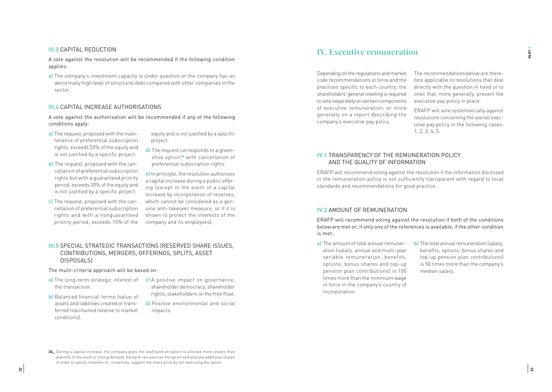#### **III.3** CAPITAL REDUCTION

A vote against the resolution will be recommended if the following condition applies:

**a)** The company's investment capacity is under question or the company has an abnormally high level of structural debt compared with other companies in the sector.

#### **III.4** CAPITAL INCREASE AUTHORISATIONS

A vote against the authorisation will be recommended if any of the following conditions apply:

**a)** The request, proposed with the main tenance of preferential subscription rights, exceeds 50% of the equity and is not justified by a specific project.

**b)** The request, proposed with the can -

- equity and is not justified by a specific project.
- **d)** The request corresponds to a green shoe option**<sup>34</sup>** with cancellation of preferential subscription rights.
- cellation of preferential subscription rights but with a guaranteed priority period, exceeds 20% of the equity and is not justified by a specific project. **c)** The request, proposed with the can cellation of preferential subscription rights and with a nonguaranteed priority period, exceeds 10% of the **e)** In principle, the resolution authorises a capital increase during a public offer ing (except in the event of a capital increase by incorporation of reserves, which cannot be considered as a gen uine anti-takeover measure, or if it is shown to protect the interests of the company and its employees).

#### **III.5** SPECIAL STRATEGIC TRANSACTIONS (RESERVED SHARE ISSUES, CONTRIBUTIONS, MERGERS, OFFERINGS, SPLITS, ASSET **DISPOSALSI**

#### The multi-criteria approach will be based on:

- **a)** The long-term strategic interest of the transaction.
- **c)** A positive impact on governance, shareholder democracy, shareholder rights, stakeholders or the free float.
- **b)** Balanced financial terms (value of assets and liabilities created or trans ferred maintained relative to market conditions).
- **d)** Positive environmental and social impacts.

## **IV. Executive remuneration**

Depending on the regulations and market code recommendations in force and the practices specific to each country, the shareholders' general meeting is required to vote separately on certain components of executive remuneration, or more generally on a report describing the company's executive pay policy.

The recommendations below are there fore applicable to resolutions that deal directly with the question in hand or to ones that, more generally, present the executive pay policy in place.

ERAFP will vote systematically against resolutions concerning the overall exec utive pay policy in the following cases: 1, 2, 3, 4, 5.

#### **IV.1** TRANSPARENCY OF THE REMUNERATION POLICY AND THE QUALITY OF INFORMATION

ERAFP will recommend voting against the resolution if the information disclosed in the remuneration policy is not sufficiently transparent with regard to local standards and recommendations for good practice.

#### **IV.2** AMOUNT OF REMUNERATION

ERAFP will recommend voting against the resolution if both of the conditions below are met or, if only one of the references is available, if the other condition is met:

- **a)** The amount of total annual remuner ation (salary, annual and multi-year variable remuneration, benefits, options, bonus shares and top-up pension plan contributions) is 100 times more than the minimum wage in force in the company's country of incorporation.
- **b)** The total annual remuneration (salary, benefits, options, bonus shares and top-up pension plan contributions) is 50 times more than the company's median salary.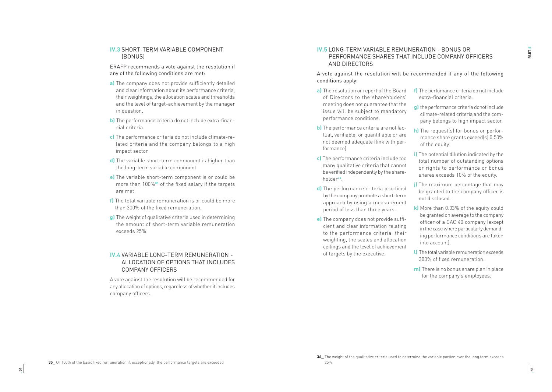#### **IV.3** SHORT-TERM VARIABLE COMPONENT (BONUS)

ERAFP recommends a vote against the resolution if any of the following conditions are met:

- **a)** The company does not provide sufficiently detailed and clear information about its performance criteria, their weightings, the allocation scales and thresholds and the level of target-achievement by the manager in question.
- **b)** The performance criteria do not include extra-financial criteria.
- **c)** The performance criteria do not include climate-related criteria and the company belongs to a high impact sector.
- **d)** The variable short-term component is higher than the long-term variable component.
- **e)** The variable short-term component is or could be more than 100%**<sup>35</sup>** of the fixed salary if the targets are met.
- **f)** The total variable remuneration is or could be more than 300% of the fixed remuneration.
- **g)** The weight of qualitative criteria used in determining the amount of short-term variable remuneration exceeds 25%.

#### **IV.4** VARIABLE LONG-TERM REMUNERATION - ALLOCATION OF OPTIONS THAT INCLUDES COMPANY OFFICERS

A vote against the resolution will be recommended for any allocation of options, regardless of whether it includes company officers.

#### **IV.5** LONG-TERM VARIABLE REMUNERATION - BONUS OR PERFORMANCE SHARES THAT INCLUDE COMPANY OFFICERS AND DIRECTORS

A vote against the resolution will be recommended if any of the following conditions apply:

- **a)** The resolution or report of the Board of Directors to the shareholders' meeting does not guarantee that the issue will be subject to mandatory performance conditions.
- **b)** The performance criteria are not factual, verifiable, or quantifiable or are not deemed adequate (link with performance).
- **c)** The performance criteria include too many qualitative criteria that cannot be verified independently by the shareholder**<sup>36</sup>**.
- **d)** The performance criteria practiced by the company promote a short-term approach by using a measurement period of less than three years.
- **e)** The company does not provide sufficient and clear information relating to the performance criteria, their weighting, the scales and allocation ceilings and the level of achievement of targets by the executive.
- **f)** The perfomance criteria do not include extra-financial criteria.
- **g)** the performance criteria donot include climate-related criteria and the company belongs to high impact sector.
- **h)** The request(s) for bonus or performance share grants exceed(s) 0.50% of the equity.
- **i)** The potential dilution indicated by the total number of outstanding options or rights to performance or bonus shares exceeds 10% of the equity.
- **i)** The maximum percentage that may be granted to the company officer is not disclosed.
- **k)** More than 0.03% of the equity could be granted on average to the company officer of a CAC 40 company (except in the case where particularly demanding performance conditions are taken into account).
- **l)** The total variable remuneration exceeds 300% of fixed remuneration.
- **m)** There is no bonus share plan in place for the company's employees.

**<sup>36</sup>\_** The weight of the qualitative criteria used to determine the variable portion over the long term exceeds 25%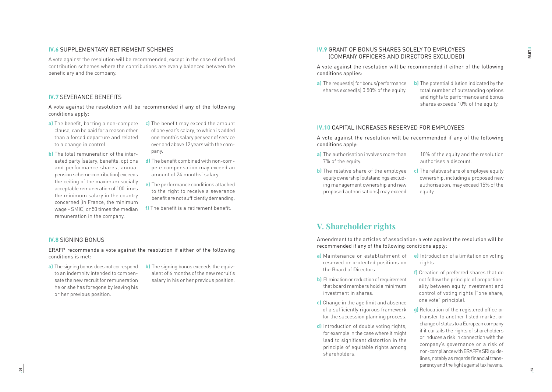#### **IV.6 SUPPLEMENTARY RETIREMENT SCHEMES**

A vote against the resolution will be recommended, except in the case of defined contribution schemes where the contributions are evenly balanced between the beneficiary and the company.

#### **IV.7** SEVERANCE BENEFITS

A vote against the resolution will be recommended if any of the following conditions apply:

- **a)** The benefit, barring a non-compete clause, can be paid for a reason other than a forced departure and related to a change in control.
- **b)** The total remuneration of the inter ested party (salary, benefits, options and performance shares, annual pension scheme contribution) exceeds the ceiling of the maximum socially acceptable remuneration of 100 times the minimum salary in the country concerned (in France, the minimum wage - SMIC) or 50 times the median remuneration in the company.
- **c)** The benefit may exceed the amount of one year's salary, to which is added one month's salary per year of service over and above 12 years with the com pany.
- **d)** The benefit combined with non-com pete compensation may exceed an amount of 24 months' salary.
- **e)** The performance conditions attached to the right to receive a severance benefit are not sufficiently demanding.
- **f)** The benefit is a retirement benefit.

#### **IV.8** SIGNING BONUS

ERAFP recommends a vote against the resolution if either of the following conditions is met:

- **a)** The signing bonus does not correspond to an indemnity intended to compen sate the new recruit for remuneration he or she has foregone by leaving his or her previous position.
- **b)** The signing bonus exceeds the equivalent of 6 months of the new recruit's salary in his or her previous position.

#### **IV.9** GRANT OF BONUS SHARES SOLELY TO EMPLOYEES (COMPANY OFFICERS AND DIRECTORS EXCLUDED)

A vote against the resolution will be recommended if either of the following conditions applies:

- **a)** The request(s) for bonus/performance shares exceed(s) 0.50% of the equity.
- **b)** The potential dilution indicated by the total number of outstanding options and rights to performance and bonus shares exceeds 10% of the equity.

#### **IV.10** CAPITAL INCREASES RESERVED FOR EMPLOYEES

A vote against the resolution will be recommended if any of the following conditions apply:

- **a)** The authorisation involves more than 7% of the equity.
- 10% of the equity and the resolution authorises a discount.
- **b)** The relative share of the employee equity ownership (outstandings exclud ing management ownership and new proposed authorisations) may exceed
- **c)** The relative share of employee equity ownership, including a proposed new authorisation, may exceed 15% of the equity.

## **V. Shareholder rights**

Amendment to the articles of association: a vote against the resolution will be recommended if any of the following conditions apply:

- **a)** Maintenance or establishment of reserved or protected positions on the Board of Directors.
- **b)** Elimination or reduction of requirement that board members hold a minimum investment in shares.
- **c)** Change in the age limit and absence of a sufficiently rigorous framework for the succession planning process.
- **d)** Introduction of double voting rights, for example in the case where it might lead to significant distortion in the principle of equitable rights among shareholders.
- **e)** Introduction of a limitation on voting rights.
- **f)** Creation of preferred shares that do not follow the principle of proportion ality between equity investment and control of voting rights ("one share, one vote" principle).
- **g)** Relocation of the registered office or transfer to another listed market or change of status to a European company if it curtails the rights of shareholders or induces a risk in connection with the company's governance or a risk of non-compliance with ERAFP's SRI guide lines, notably as regards financial trans parency and the fight against tax havens.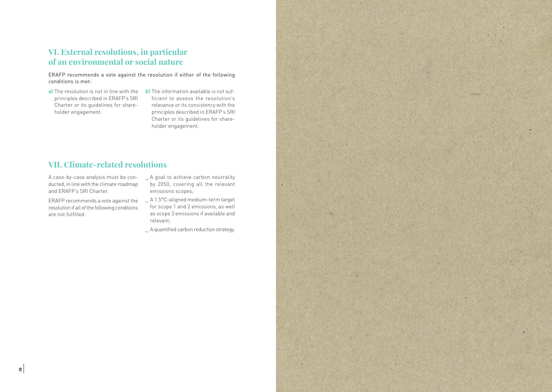## **VI. External resolutions, in particular of an environmental or social nature**

ERAFP recommends a vote against the resolution if either of the following conditions is met:

- **a)** The resolution is not in line with the principles described in ERAFP's SRI Charter or its guidelines for shareholder engagement.
- **b)** The information available is not sufficient to assess the resolution's relevance or its consistency with the principles described in ERAFP's SRI Charter or its guidelines for shareholder engagement.

## **VII. Climate-related resolutions**

A case-by-case analysis must be conducted, in line with the climate roadmap and ERAFP's SRI Charter.

ERAFP recommends a vote against the resolution if all of the following conditions are not fulfilled:

- \_ A goal to achieve carbon neutrality by 2050, covering all the relevant emissions scopes;
- \_ A 1.5°C-aligned medium-term target for scope 1 and 2 emissions, as well as scope 3 emissions if available and relevant;
- \_ A quantified carbon reduction strategy.